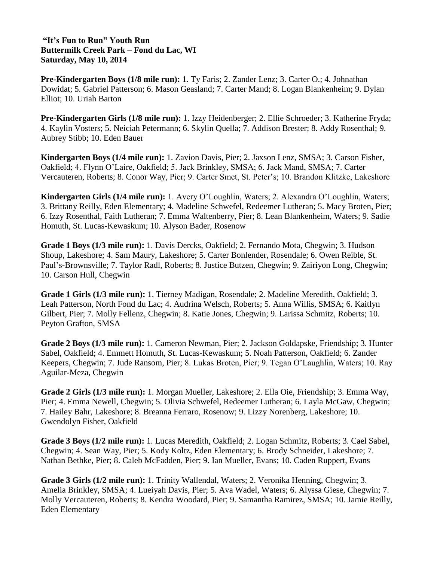## **"It's Fun to Run" Youth Run Buttermilk Creek Park – Fond du Lac, WI Saturday, May 10, 2014**

**Pre-Kindergarten Boys (1/8 mile run):** 1. Ty Faris; 2. Zander Lenz; 3. Carter O.; 4. Johnathan Dowidat; 5. Gabriel Patterson; 6. Mason Geasland; 7. Carter Mand; 8. Logan Blankenheim; 9. Dylan Elliot; 10. Uriah Barton

**Pre-Kindergarten Girls (1/8 mile run):** 1. Izzy Heidenberger; 2. Ellie Schroeder; 3. Katherine Fryda; 4. Kaylin Vosters; 5. Neiciah Petermann; 6. Skylin Quella; 7. Addison Brester; 8. Addy Rosenthal; 9. Aubrey Stibb; 10. Eden Bauer

**Kindergarten Boys (1/4 mile run):** 1. Zavion Davis, Pier; 2. Jaxson Lenz, SMSA; 3. Carson Fisher, Oakfield; 4. Flynn O'Laire, Oakfield; 5. Jack Brinkley, SMSA; 6. Jack Mand, SMSA; 7. Carter Vercauteren, Roberts; 8. Conor Way, Pier; 9. Carter Smet, St. Peter's; 10. Brandon Klitzke, Lakeshore

**Kindergarten Girls (1/4 mile run):** 1. Avery O'Loughlin, Waters; 2. Alexandra O'Loughlin, Waters; 3. Brittany Reilly, Eden Elementary; 4. Madeline Schwefel, Redeemer Lutheran; 5. Macy Broten, Pier; 6. Izzy Rosenthal, Faith Lutheran; 7. Emma Waltenberry, Pier; 8. Lean Blankenheim, Waters; 9. Sadie Homuth, St. Lucas-Kewaskum; 10. Alyson Bader, Rosenow

**Grade 1 Boys (1/3 mile run):** 1. Davis Dercks, Oakfield; 2. Fernando Mota, Chegwin; 3. Hudson Shoup, Lakeshore; 4. Sam Maury, Lakeshore; 5. Carter Bonlender, Rosendale; 6. Owen Reible, St. Paul's-Brownsville; 7. Taylor Radl, Roberts; 8. Justice Butzen, Chegwin; 9. Zairiyon Long, Chegwin; 10. Carson Hull, Chegwin

**Grade 1 Girls (1/3 mile run):** 1. Tierney Madigan, Rosendale; 2. Madeline Meredith, Oakfield; 3. Leah Patterson, North Fond du Lac; 4. Audrina Welsch, Roberts; 5. Anna Willis, SMSA; 6. Kaitlyn Gilbert, Pier; 7. Molly Fellenz, Chegwin; 8. Katie Jones, Chegwin; 9. Larissa Schmitz, Roberts; 10. Peyton Grafton, SMSA

**Grade 2 Boys (1/3 mile run):** 1. Cameron Newman, Pier; 2. Jackson Goldapske, Friendship; 3. Hunter Sabel, Oakfield; 4. Emmett Homuth, St. Lucas-Kewaskum; 5. Noah Patterson, Oakfield; 6. Zander Keepers, Chegwin; 7. Jude Ransom, Pier; 8. Lukas Broten, Pier; 9. Tegan O'Laughlin, Waters; 10. Ray Aguilar-Meza, Chegwin

**Grade 2 Girls (1/3 mile run):** 1. Morgan Mueller, Lakeshore; 2. Ella Oie, Friendship; 3. Emma Way, Pier; 4. Emma Newell, Chegwin; 5. Olivia Schwefel, Redeemer Lutheran; 6. Layla McGaw, Chegwin; 7. Hailey Bahr, Lakeshore; 8. Breanna Ferraro, Rosenow; 9. Lizzy Norenberg, Lakeshore; 10. Gwendolyn Fisher, Oakfield

**Grade 3 Boys (1/2 mile run):** 1. Lucas Meredith, Oakfield; 2. Logan Schmitz, Roberts; 3. Cael Sabel, Chegwin; 4. Sean Way, Pier; 5. Kody Koltz, Eden Elementary; 6. Brody Schneider, Lakeshore; 7. Nathan Bethke, Pier; 8. Caleb McFadden, Pier; 9. Ian Mueller, Evans; 10. Caden Ruppert, Evans

**Grade 3 Girls (1/2 mile run):** 1. Trinity Wallendal, Waters; 2. Veronika Henning, Chegwin; 3. Amelia Brinkley, SMSA; 4. Lueiyah Davis, Pier; 5. Ava Wadel, Waters; 6. Alyssa Giese, Chegwin; 7. Molly Vercauteren, Roberts; 8. Kendra Woodard, Pier; 9. Samantha Ramirez, SMSA; 10. Jamie Reilly, Eden Elementary